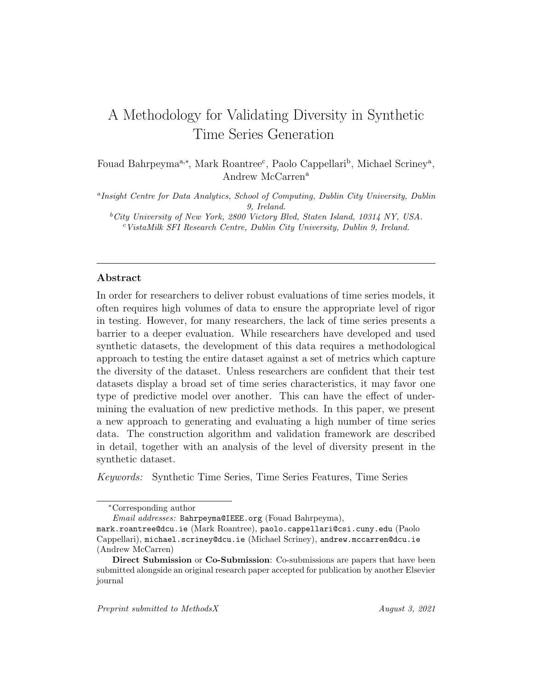# A Methodology for Validating Diversity in Synthetic Time Series Generation

Fouad Bahrpeyma<sup>a,∗</sup>, Mark Roantree<sup>c</sup>, Paolo Cappellari<sup>b</sup>, Michael Scriney<sup>a</sup>, Andrew McCarren<sup>a</sup>

<sup>a</sup>Insight Centre for Data Analytics, School of Computing, Dublin City University, Dublin 9, Ireland.  ${}^{b}$ City University of New York, 2800 Victory Blvd, Staten Island, 10314 NY, USA.

 $c$ VistaMilk SFI Research Centre, Dublin City University, Dublin 9, Ireland.

# Abstract

In order for researchers to deliver robust evaluations of time series models, it often requires high volumes of data to ensure the appropriate level of rigor in testing. However, for many researchers, the lack of time series presents a barrier to a deeper evaluation. While researchers have developed and used synthetic datasets, the development of this data requires a methodological approach to testing the entire dataset against a set of metrics which capture the diversity of the dataset. Unless researchers are confident that their test datasets display a broad set of time series characteristics, it may favor one type of predictive model over another. This can have the effect of undermining the evaluation of new predictive methods. In this paper, we present a new approach to generating and evaluating a high number of time series data. The construction algorithm and validation framework are described in detail, together with an analysis of the level of diversity present in the synthetic dataset.

Keywords: Synthetic Time Series, Time Series Features, Time Series

<sup>∗</sup>Corresponding author

Email addresses: Bahrpeyma@IEEE.org (Fouad Bahrpeyma),

mark.roantree@dcu.ie (Mark Roantree), paolo.cappellari@csi.cuny.edu (Paolo Cappellari), michael.scriney@dcu.ie (Michael Scriney), andrew.mccarren@dcu.ie (Andrew McCarren)

Direct Submission or Co-Submission: Co-submissions are papers that have been submitted alongside an original research paper accepted for publication by another Elsevier journal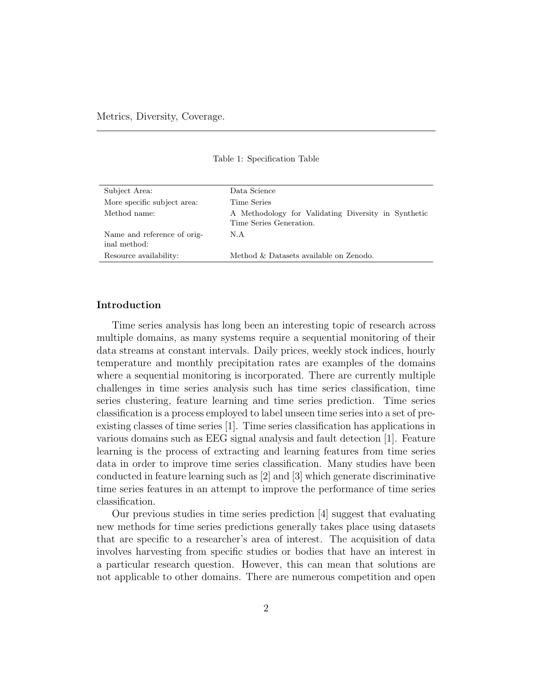| Subject Area:                               | Data Science                                                                   |
|---------------------------------------------|--------------------------------------------------------------------------------|
| More specific subject area:                 | Time Series                                                                    |
| Method name:                                | A Methodology for Validating Diversity in Synthetic<br>Time Series Generation. |
| Name and reference of orig-<br>inal method: | N.A                                                                            |
| Resource availability:                      | Method & Datasets available on Zenodo.                                         |

Table 1: Specification Table

# Introduction

Time series analysis has long been an interesting topic of research across multiple domains, as many systems require a sequential monitoring of their data streams at constant intervals. Daily prices, weekly stock indices, hourly temperature and monthly precipitation rates are examples of the domains where a sequential monitoring is incorporated. There are currently multiple challenges in time series analysis such has time series classification, time series clustering, feature learning and time series prediction. Time series classification is a process employed to label unseen time series into a set of preexisting classes of time series [1]. Time series classification has applications in various domains such as EEG signal analysis and fault detection [1]. Feature learning is the process of extracting and learning features from time series data in order to improve time series classification. Many studies have been conducted in feature learning such as [2] and [3] which generate discriminative time series features in an attempt to improve the performance of time series classification.

Our previous studies in time series prediction [4] suggest that evaluating new methods for time series predictions generally takes place using datasets that are specific to a researcher's area of interest. The acquisition of data involves harvesting from specific studies or bodies that have an interest in a particular research question. However, this can mean that solutions are not applicable to other domains. There are numerous competition and open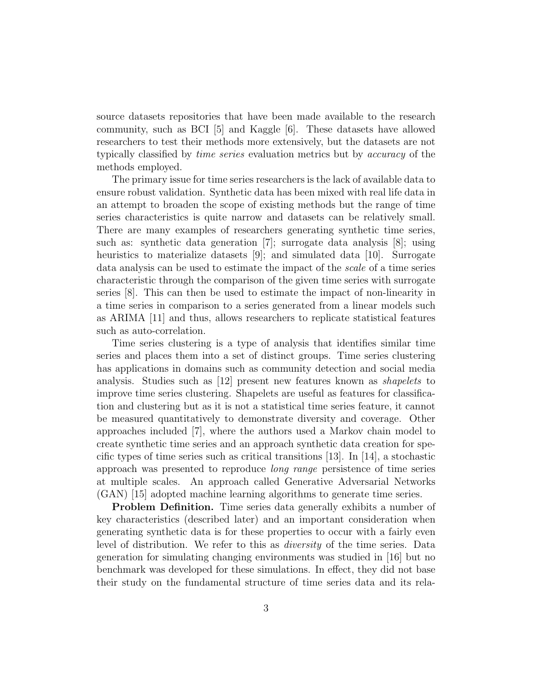source datasets repositories that have been made available to the research community, such as BCI [5] and Kaggle [6]. These datasets have allowed researchers to test their methods more extensively, but the datasets are not typically classified by time series evaluation metrics but by accuracy of the methods employed.

The primary issue for time series researchers is the lack of available data to ensure robust validation. Synthetic data has been mixed with real life data in an attempt to broaden the scope of existing methods but the range of time series characteristics is quite narrow and datasets can be relatively small. There are many examples of researchers generating synthetic time series, such as: synthetic data generation [7]; surrogate data analysis [8]; using heuristics to materialize datasets [9]; and simulated data [10]. Surrogate data analysis can be used to estimate the impact of the scale of a time series characteristic through the comparison of the given time series with surrogate series [8]. This can then be used to estimate the impact of non-linearity in a time series in comparison to a series generated from a linear models such as ARIMA [11] and thus, allows researchers to replicate statistical features such as auto-correlation.

Time series clustering is a type of analysis that identifies similar time series and places them into a set of distinct groups. Time series clustering has applications in domains such as community detection and social media analysis. Studies such as [12] present new features known as shapelets to improve time series clustering. Shapelets are useful as features for classification and clustering but as it is not a statistical time series feature, it cannot be measured quantitatively to demonstrate diversity and coverage. Other approaches included [7], where the authors used a Markov chain model to create synthetic time series and an approach synthetic data creation for specific types of time series such as critical transitions  $[13]$ . In  $[14]$ , a stochastic approach was presented to reproduce long range persistence of time series at multiple scales. An approach called Generative Adversarial Networks (GAN) [15] adopted machine learning algorithms to generate time series.

Problem Definition. Time series data generally exhibits a number of key characteristics (described later) and an important consideration when generating synthetic data is for these properties to occur with a fairly even level of distribution. We refer to this as diversity of the time series. Data generation for simulating changing environments was studied in [16] but no benchmark was developed for these simulations. In effect, they did not base their study on the fundamental structure of time series data and its rela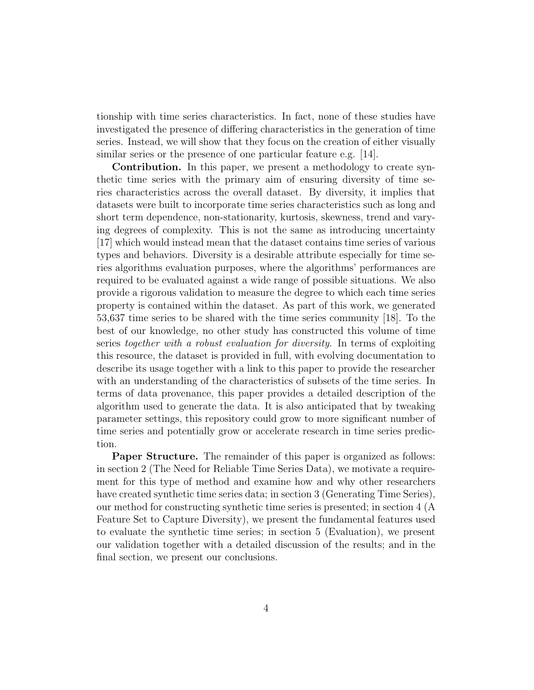tionship with time series characteristics. In fact, none of these studies have investigated the presence of differing characteristics in the generation of time series. Instead, we will show that they focus on the creation of either visually similar series or the presence of one particular feature e.g. [14].

Contribution. In this paper, we present a methodology to create synthetic time series with the primary aim of ensuring diversity of time series characteristics across the overall dataset. By diversity, it implies that datasets were built to incorporate time series characteristics such as long and short term dependence, non-stationarity, kurtosis, skewness, trend and varying degrees of complexity. This is not the same as introducing uncertainty [17] which would instead mean that the dataset contains time series of various types and behaviors. Diversity is a desirable attribute especially for time series algorithms evaluation purposes, where the algorithms' performances are required to be evaluated against a wide range of possible situations. We also provide a rigorous validation to measure the degree to which each time series property is contained within the dataset. As part of this work, we generated 53,637 time series to be shared with the time series community [18]. To the best of our knowledge, no other study has constructed this volume of time series together with a robust evaluation for diversity. In terms of exploiting this resource, the dataset is provided in full, with evolving documentation to describe its usage together with a link to this paper to provide the researcher with an understanding of the characteristics of subsets of the time series. In terms of data provenance, this paper provides a detailed description of the algorithm used to generate the data. It is also anticipated that by tweaking parameter settings, this repository could grow to more significant number of time series and potentially grow or accelerate research in time series prediction.

**Paper Structure.** The remainder of this paper is organized as follows: in section 2 (The Need for Reliable Time Series Data), we motivate a requirement for this type of method and examine how and why other researchers have created synthetic time series data; in section 3 (Generating Time Series), our method for constructing synthetic time series is presented; in section 4 (A Feature Set to Capture Diversity), we present the fundamental features used to evaluate the synthetic time series; in section 5 (Evaluation), we present our validation together with a detailed discussion of the results; and in the final section, we present our conclusions.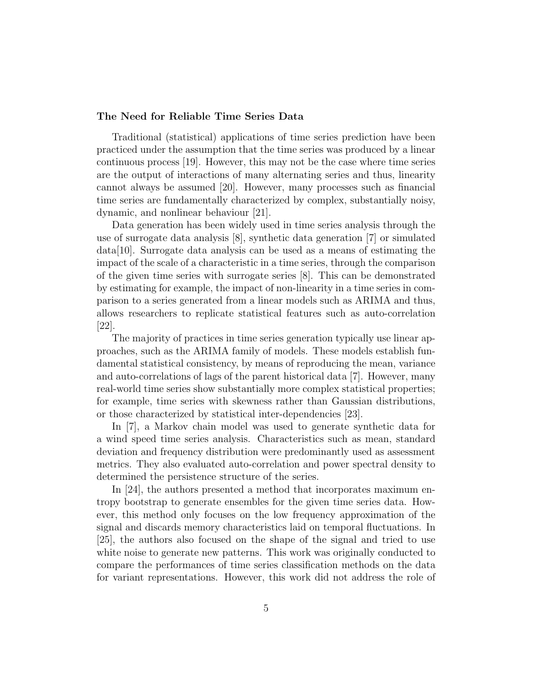## The Need for Reliable Time Series Data

Traditional (statistical) applications of time series prediction have been practiced under the assumption that the time series was produced by a linear continuous process [19]. However, this may not be the case where time series are the output of interactions of many alternating series and thus, linearity cannot always be assumed [20]. However, many processes such as financial time series are fundamentally characterized by complex, substantially noisy, dynamic, and nonlinear behaviour [21].

Data generation has been widely used in time series analysis through the use of surrogate data analysis [8], synthetic data generation [7] or simulated data[10]. Surrogate data analysis can be used as a means of estimating the impact of the scale of a characteristic in a time series, through the comparison of the given time series with surrogate series [8]. This can be demonstrated by estimating for example, the impact of non-linearity in a time series in comparison to a series generated from a linear models such as ARIMA and thus, allows researchers to replicate statistical features such as auto-correlation [22].

The majority of practices in time series generation typically use linear approaches, such as the ARIMA family of models. These models establish fundamental statistical consistency, by means of reproducing the mean, variance and auto-correlations of lags of the parent historical data [7]. However, many real-world time series show substantially more complex statistical properties; for example, time series with skewness rather than Gaussian distributions, or those characterized by statistical inter-dependencies [23].

In [7], a Markov chain model was used to generate synthetic data for a wind speed time series analysis. Characteristics such as mean, standard deviation and frequency distribution were predominantly used as assessment metrics. They also evaluated auto-correlation and power spectral density to determined the persistence structure of the series.

In [24], the authors presented a method that incorporates maximum entropy bootstrap to generate ensembles for the given time series data. However, this method only focuses on the low frequency approximation of the signal and discards memory characteristics laid on temporal fluctuations. In [25], the authors also focused on the shape of the signal and tried to use white noise to generate new patterns. This work was originally conducted to compare the performances of time series classification methods on the data for variant representations. However, this work did not address the role of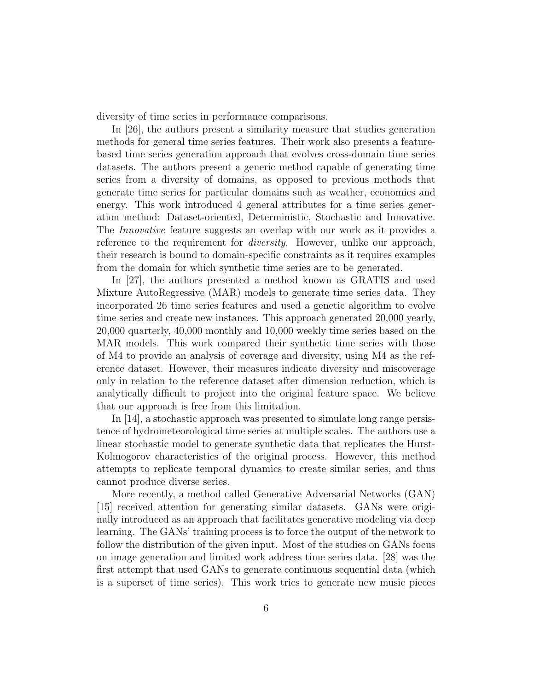diversity of time series in performance comparisons.

In [26], the authors present a similarity measure that studies generation methods for general time series features. Their work also presents a featurebased time series generation approach that evolves cross-domain time series datasets. The authors present a generic method capable of generating time series from a diversity of domains, as opposed to previous methods that generate time series for particular domains such as weather, economics and energy. This work introduced 4 general attributes for a time series generation method: Dataset-oriented, Deterministic, Stochastic and Innovative. The Innovative feature suggests an overlap with our work as it provides a reference to the requirement for *diversity*. However, unlike our approach, their research is bound to domain-specific constraints as it requires examples from the domain for which synthetic time series are to be generated.

In [27], the authors presented a method known as GRATIS and used Mixture AutoRegressive (MAR) models to generate time series data. They incorporated 26 time series features and used a genetic algorithm to evolve time series and create new instances. This approach generated 20,000 yearly, 20,000 quarterly, 40,000 monthly and 10,000 weekly time series based on the MAR models. This work compared their synthetic time series with those of M4 to provide an analysis of coverage and diversity, using M4 as the reference dataset. However, their measures indicate diversity and miscoverage only in relation to the reference dataset after dimension reduction, which is analytically difficult to project into the original feature space. We believe that our approach is free from this limitation.

In [14], a stochastic approach was presented to simulate long range persistence of hydrometeorological time series at multiple scales. The authors use a linear stochastic model to generate synthetic data that replicates the Hurst-Kolmogorov characteristics of the original process. However, this method attempts to replicate temporal dynamics to create similar series, and thus cannot produce diverse series.

More recently, a method called Generative Adversarial Networks (GAN) [15] received attention for generating similar datasets. GANs were originally introduced as an approach that facilitates generative modeling via deep learning. The GANs' training process is to force the output of the network to follow the distribution of the given input. Most of the studies on GANs focus on image generation and limited work address time series data. [28] was the first attempt that used GANs to generate continuous sequential data (which is a superset of time series). This work tries to generate new music pieces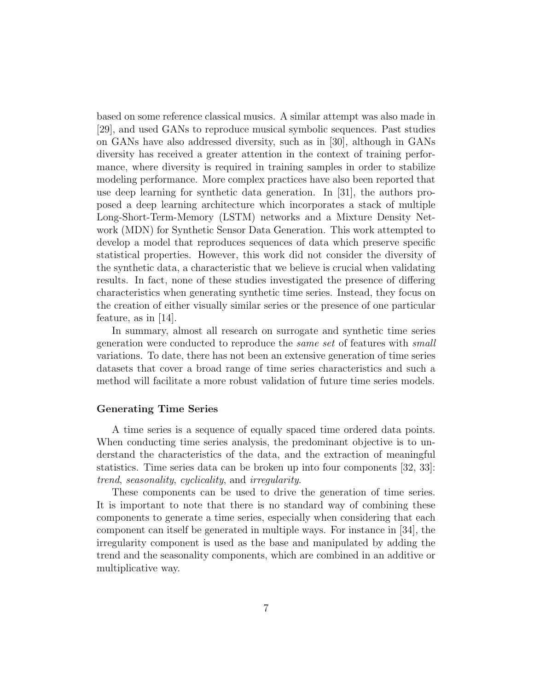based on some reference classical musics. A similar attempt was also made in [29], and used GANs to reproduce musical symbolic sequences. Past studies on GANs have also addressed diversity, such as in [30], although in GANs diversity has received a greater attention in the context of training performance, where diversity is required in training samples in order to stabilize modeling performance. More complex practices have also been reported that use deep learning for synthetic data generation. In [31], the authors proposed a deep learning architecture which incorporates a stack of multiple Long-Short-Term-Memory (LSTM) networks and a Mixture Density Network (MDN) for Synthetic Sensor Data Generation. This work attempted to develop a model that reproduces sequences of data which preserve specific statistical properties. However, this work did not consider the diversity of the synthetic data, a characteristic that we believe is crucial when validating results. In fact, none of these studies investigated the presence of differing characteristics when generating synthetic time series. Instead, they focus on the creation of either visually similar series or the presence of one particular feature, as in [14].

In summary, almost all research on surrogate and synthetic time series generation were conducted to reproduce the same set of features with small variations. To date, there has not been an extensive generation of time series datasets that cover a broad range of time series characteristics and such a method will facilitate a more robust validation of future time series models.

# Generating Time Series

A time series is a sequence of equally spaced time ordered data points. When conducting time series analysis, the predominant objective is to understand the characteristics of the data, and the extraction of meaningful statistics. Time series data can be broken up into four components [32, 33]: trend, seasonality, cyclicality, and irregularity.

These components can be used to drive the generation of time series. It is important to note that there is no standard way of combining these components to generate a time series, especially when considering that each component can itself be generated in multiple ways. For instance in [34], the irregularity component is used as the base and manipulated by adding the trend and the seasonality components, which are combined in an additive or multiplicative way.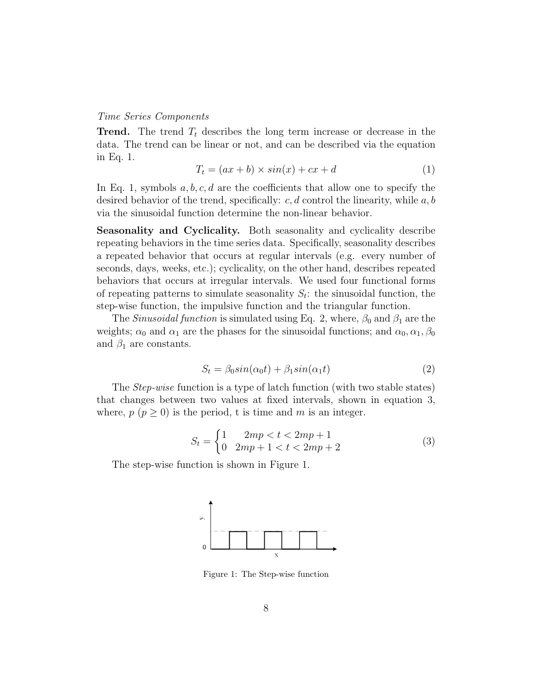### Time Series Components

**Trend.** The trend  $T_t$  describes the long term increase or decrease in the data. The trend can be linear or not, and can be described via the equation in Eq. 1.

$$
T_t = (ax + b) \times sin(x) + cx + d \tag{1}
$$

In Eq. 1, symbols  $a, b, c, d$  are the coefficients that allow one to specify the desired behavior of the trend, specifically:  $c, d$  control the linearity, while  $a, b$ via the sinusoidal function determine the non-linear behavior.

Seasonality and Cyclicality. Both seasonality and cyclicality describe repeating behaviors in the time series data. Specifically, seasonality describes a repeated behavior that occurs at regular intervals (e.g. every number of seconds, days, weeks, etc.); cyclicality, on the other hand, describes repeated behaviors that occurs at irregular intervals. We used four functional forms of repeating patterns to simulate seasonality  $S_t$ : the sinusoidal function, the step-wise function, the impulsive function and the triangular function.

The *Sinusoidal function* is simulated using Eq. 2, where,  $\beta_0$  and  $\beta_1$  are the weights;  $\alpha_0$  and  $\alpha_1$  are the phases for the sinusoidal functions; and  $\alpha_0, \alpha_1, \beta_0$ and  $\beta_1$  are constants.

$$
S_t = \beta_0 \sin(\alpha_0 t) + \beta_1 \sin(\alpha_1 t) \tag{2}
$$

The Step-wise function is a type of latch function (with two stable states) that changes between two values at fixed intervals, shown in equation 3, where,  $p (p \ge 0)$  is the period, t is time and m is an integer.

$$
S_t = \begin{cases} 1 & 2mp < t < 2mp + 1 \\ 0 & 2mp + 1 < t < 2mp + 2 \end{cases} \tag{3}
$$

The step-wise function is shown in Figure 1.



Figure 1: The Step-wise function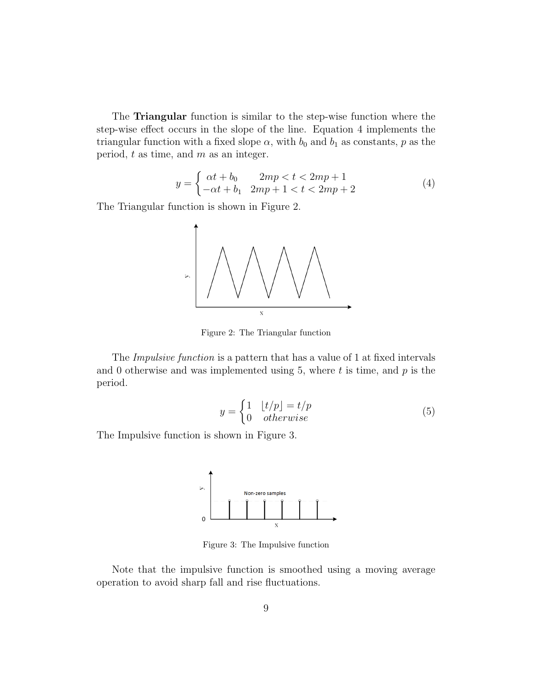The Triangular function is similar to the step-wise function where the step-wise effect occurs in the slope of the line. Equation 4 implements the triangular function with a fixed slope  $\alpha$ , with  $b_0$  and  $b_1$  as constants, p as the period,  $t$  as time, and  $m$  as an integer.

$$
y = \begin{cases} \alpha t + b_0 & 2mp < t < 2mp + 1 \\ -\alpha t + b_1 & 2mp + 1 < t < 2mp + 2 \end{cases}
$$
 (4)

The Triangular function is shown in Figure 2.



Figure 2: The Triangular function

The Impulsive function is a pattern that has a value of 1 at fixed intervals and 0 otherwise and was implemented using 5, where t is time, and  $p$  is the period.

$$
y = \begin{cases} 1 & \lfloor t/p \rfloor = t/p \\ 0 & \text{otherwise} \end{cases} \tag{5}
$$

The Impulsive function is shown in Figure 3.



Figure 3: The Impulsive function

Note that the impulsive function is smoothed using a moving average operation to avoid sharp fall and rise fluctuations.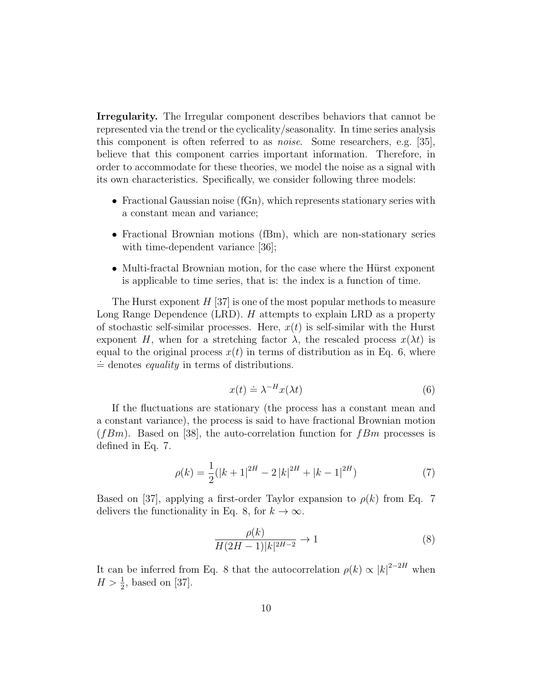Irregularity. The Irregular component describes behaviors that cannot be represented via the trend or the cyclicality/seasonality. In time series analysis this component is often referred to as noise. Some researchers, e.g. [35], believe that this component carries important information. Therefore, in order to accommodate for these theories, we model the noise as a signal with its own characteristics. Specifically, we consider following three models:

- Fractional Gaussian noise (fGn), which represents stationary series with a constant mean and variance;
- Fractional Brownian motions (fBm), which are non-stationary series with time-dependent variance [36];
- Multi-fractal Brownian motion, for the case where the Hürst exponent is applicable to time series, that is: the index is a function of time.

The Hurst exponent  $H[37]$  is one of the most popular methods to measure Long Range Dependence (LRD).  $H$  attempts to explain LRD as a property of stochastic self-similar processes. Here,  $x(t)$  is self-similar with the Hurst exponent H, when for a stretching factor  $\lambda$ , the rescaled process  $x(\lambda t)$  is equal to the original process  $x(t)$  in terms of distribution as in Eq. 6, where  $\dot{=}$  denotes *equality* in terms of distributions.

$$
x(t) \doteq \lambda^{-H} x(\lambda t) \tag{6}
$$

If the fluctuations are stationary (the process has a constant mean and a constant variance), the process is said to have fractional Brownian motion  $(fBm)$ . Based on [38], the auto-correlation function for  $fBm$  processes is defined in Eq. 7.

$$
\rho(k) = \frac{1}{2}(|k+1|^{2H} - 2|k|^{2H} + |k-1|^{2H})\tag{7}
$$

Based on [37], applying a first-order Taylor expansion to  $\rho(k)$  from Eq. 7 delivers the functionality in Eq. 8, for  $k \to \infty$ .

$$
\frac{\rho(k)}{H(2H-1)|k|^{2H-2}} \to 1\tag{8}
$$

It can be inferred from Eq. 8 that the autocorrelation  $\rho(k) \propto |k|^{2-2H}$  when  $H > \frac{1}{2}$ , based on [37].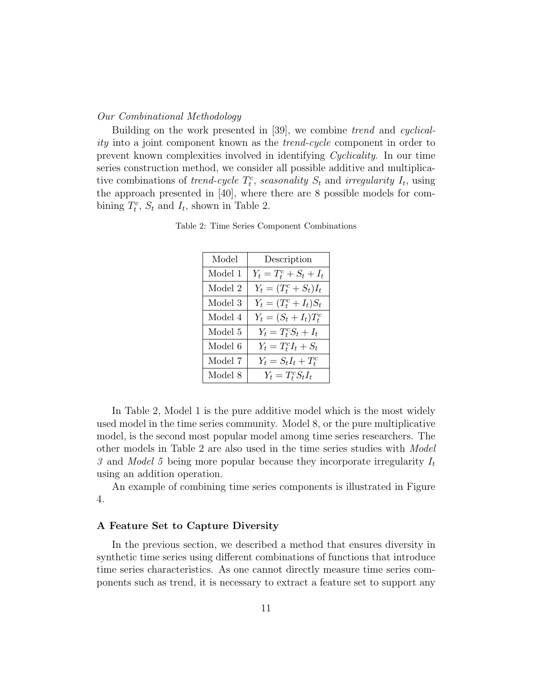## Our Combinational Methodology

Building on the work presented in [39], we combine trend and cyclicality into a joint component known as the trend-cycle component in order to prevent known complexities involved in identifying Cyclicality. In our time series construction method, we consider all possible additive and multiplicative combinations of *trend-cycle*  $T_t^c$ , *seasonality*  $S_t$  and *irregularity*  $I_t$ , using the approach presented in [40], where there are 8 possible models for combining  $T_t^c$ ,  $S_t$  and  $I_t$ , shown in Table 2.

Table 2: Time Series Component Combinations

| Model   | Description               |
|---------|---------------------------|
| Model 1 | $Y_t = T_t^c + S_t + I_t$ |
| Model 2 | $Y_t = (T_t^c + S_t)I_t$  |
| Model 3 | $Y_t = (T_t^c + I_t)S_t$  |
| Model 4 | $Y_t = (S_t + I_t)T_t^c$  |
| Model 5 | $Y_t = T_t^c S_t + I_t$   |
| Model 6 | $Y_t = T_t^c I_t + S_t$   |
| Model 7 | $Y_t = S_t I_t + T_t^c$   |
| Model 8 | $Y_t = T_t^c S_t I_t$     |

In Table 2, Model 1 is the pure additive model which is the most widely used model in the time series community. Model 8, or the pure multiplicative model, is the second most popular model among time series researchers. The other models in Table 2 are also used in the time series studies with Model 3 and Model 5 being more popular because they incorporate irregularity  $I_t$ using an addition operation.

An example of combining time series components is illustrated in Figure 4.

# A Feature Set to Capture Diversity

In the previous section, we described a method that ensures diversity in synthetic time series using different combinations of functions that introduce time series characteristics. As one cannot directly measure time series components such as trend, it is necessary to extract a feature set to support any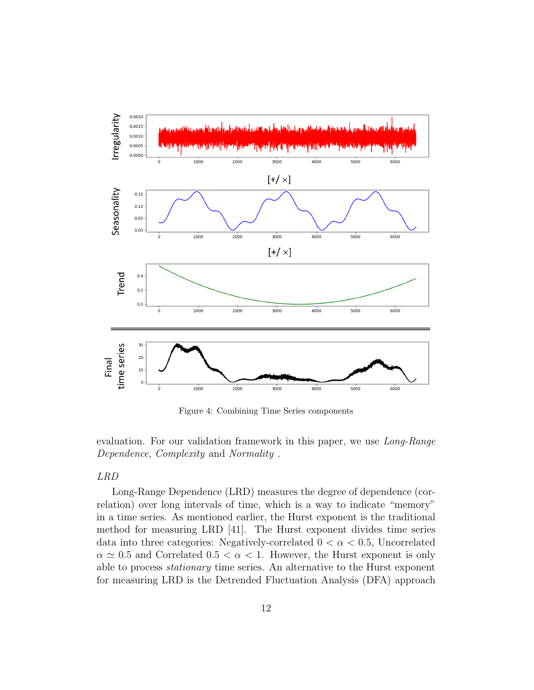

Figure 4: Combining Time Series components

evaluation. For our validation framework in this paper, we use Long-Range Dependence, Complexity and Normality .

# LRD

Long-Range Dependence (LRD) measures the degree of dependence (correlation) over long intervals of time, which is a way to indicate "memory" in a time series. As mentioned earlier, the Hurst exponent is the traditional method for measuring LRD [41]. The Hurst exponent divides time series data into three categories: Negatively-correlated  $0 < \alpha < 0.5$ , Uncorrelated  $\alpha \simeq 0.5$  and Correlated  $0.5 < \alpha < 1$ . However, the Hurst exponent is only able to process stationary time series. An alternative to the Hurst exponent for measuring LRD is the Detrended Fluctuation Analysis (DFA) approach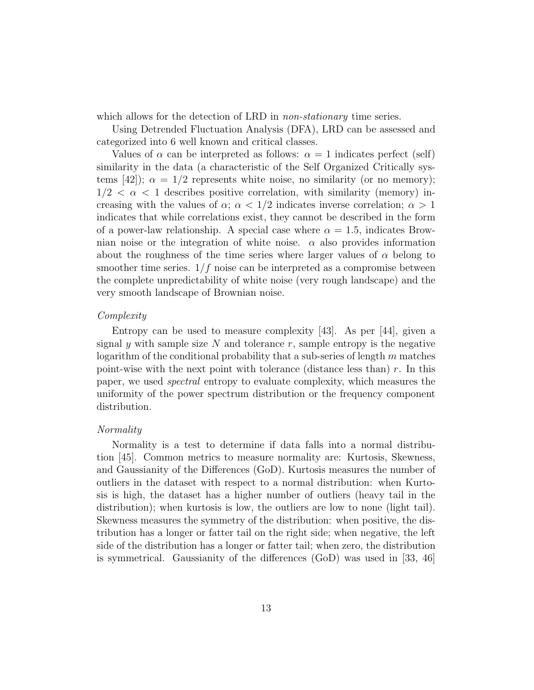which allows for the detection of LRD in *non-stationary* time series.

Using Detrended Fluctuation Analysis (DFA), LRD can be assessed and categorized into 6 well known and critical classes.

Values of  $\alpha$  can be interpreted as follows:  $\alpha = 1$  indicates perfect (self) similarity in the data (a characteristic of the Self Organized Critically systems [42]);  $\alpha = 1/2$  represents white noise, no similarity (or no memory);  $1/2 < \alpha < 1$  describes positive correlation, with similarity (memory) increasing with the values of  $\alpha$ ;  $\alpha$  < 1/2 indicates inverse correlation;  $\alpha$  > 1 indicates that while correlations exist, they cannot be described in the form of a power-law relationship. A special case where  $\alpha = 1.5$ , indicates Brownian noise or the integration of white noise.  $\alpha$  also provides information about the roughness of the time series where larger values of  $\alpha$  belong to smoother time series.  $1/f$  noise can be interpreted as a compromise between the complete unpredictability of white noise (very rough landscape) and the very smooth landscape of Brownian noise.

# Complexity

Entropy can be used to measure complexity [43]. As per [44], given a signal y with sample size  $N$  and tolerance  $r$ , sample entropy is the negative logarithm of the conditional probability that a sub-series of length  $m$  matches point-wise with the next point with tolerance (distance less than)  $r$ . In this paper, we used spectral entropy to evaluate complexity, which measures the uniformity of the power spectrum distribution or the frequency component distribution.

# Normality

Normality is a test to determine if data falls into a normal distribution [45]. Common metrics to measure normality are: Kurtosis, Skewness, and Gaussianity of the Differences (GoD). Kurtosis measures the number of outliers in the dataset with respect to a normal distribution: when Kurtosis is high, the dataset has a higher number of outliers (heavy tail in the distribution); when kurtosis is low, the outliers are low to none (light tail). Skewness measures the symmetry of the distribution: when positive, the distribution has a longer or fatter tail on the right side; when negative, the left side of the distribution has a longer or fatter tail; when zero, the distribution is symmetrical. Gaussianity of the differences (GoD) was used in [33, 46]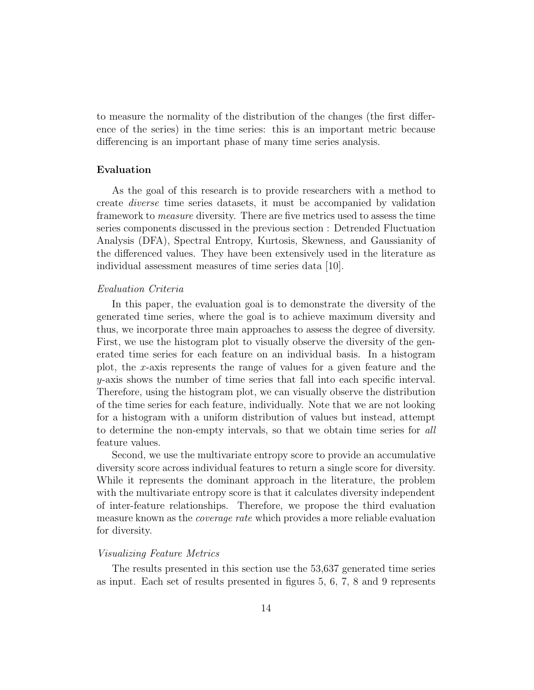to measure the normality of the distribution of the changes (the first difference of the series) in the time series: this is an important metric because differencing is an important phase of many time series analysis.

# Evaluation

As the goal of this research is to provide researchers with a method to create diverse time series datasets, it must be accompanied by validation framework to measure diversity. There are five metrics used to assess the time series components discussed in the previous section : Detrended Fluctuation Analysis (DFA), Spectral Entropy, Kurtosis, Skewness, and Gaussianity of the differenced values. They have been extensively used in the literature as individual assessment measures of time series data [10].

# Evaluation Criteria

In this paper, the evaluation goal is to demonstrate the diversity of the generated time series, where the goal is to achieve maximum diversity and thus, we incorporate three main approaches to assess the degree of diversity. First, we use the histogram plot to visually observe the diversity of the generated time series for each feature on an individual basis. In a histogram plot, the x-axis represents the range of values for a given feature and the y-axis shows the number of time series that fall into each specific interval. Therefore, using the histogram plot, we can visually observe the distribution of the time series for each feature, individually. Note that we are not looking for a histogram with a uniform distribution of values but instead, attempt to determine the non-empty intervals, so that we obtain time series for all feature values.

Second, we use the multivariate entropy score to provide an accumulative diversity score across individual features to return a single score for diversity. While it represents the dominant approach in the literature, the problem with the multivariate entropy score is that it calculates diversity independent of inter-feature relationships. Therefore, we propose the third evaluation measure known as the *coverage rate* which provides a more reliable evaluation for diversity.

#### Visualizing Feature Metrics

The results presented in this section use the 53,637 generated time series as input. Each set of results presented in figures 5, 6, 7, 8 and 9 represents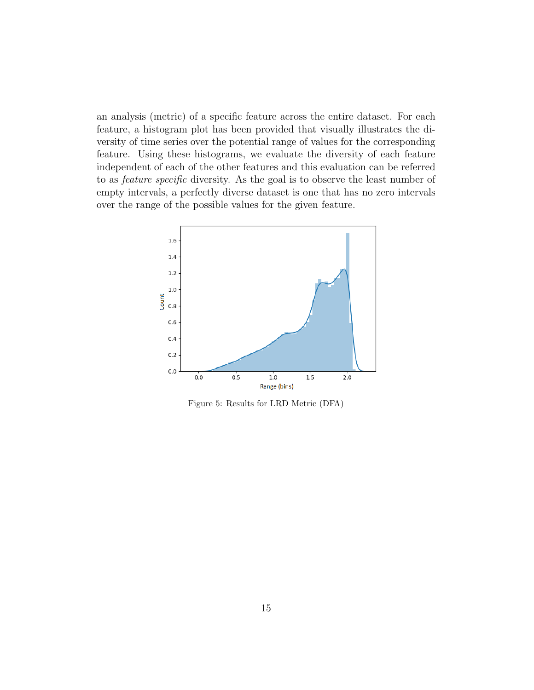an analysis (metric) of a specific feature across the entire dataset. For each feature, a histogram plot has been provided that visually illustrates the diversity of time series over the potential range of values for the corresponding feature. Using these histograms, we evaluate the diversity of each feature independent of each of the other features and this evaluation can be referred to as feature specific diversity. As the goal is to observe the least number of empty intervals, a perfectly diverse dataset is one that has no zero intervals over the range of the possible values for the given feature.



Figure 5: Results for LRD Metric (DFA)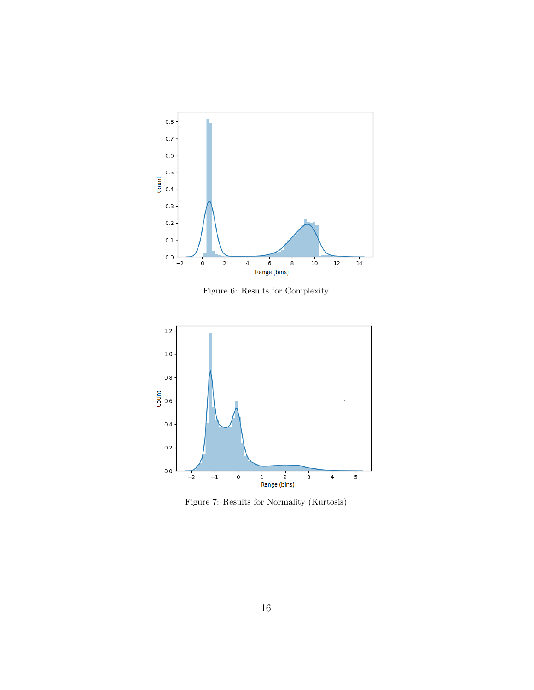

Figure 6: Results for Complexity



Figure 7: Results for Normality (Kurtosis)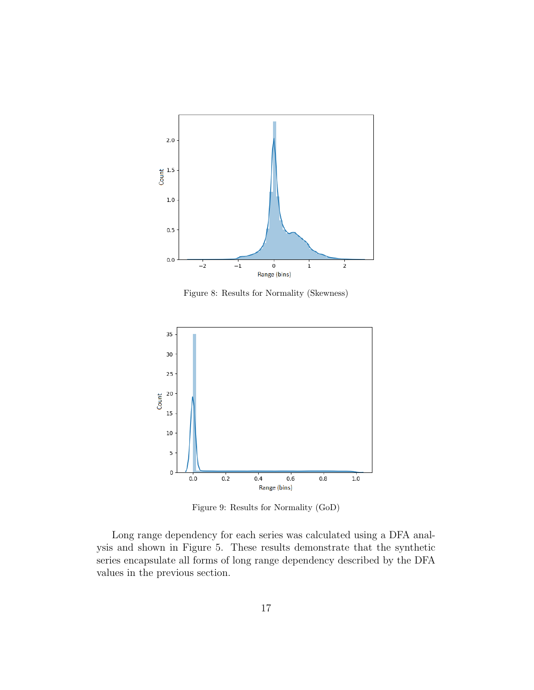

Figure 8: Results for Normality (Skewness)



Figure 9: Results for Normality (GoD)

Long range dependency for each series was calculated using a DFA analysis and shown in Figure 5. These results demonstrate that the synthetic series encapsulate all forms of long range dependency described by the DFA values in the previous section.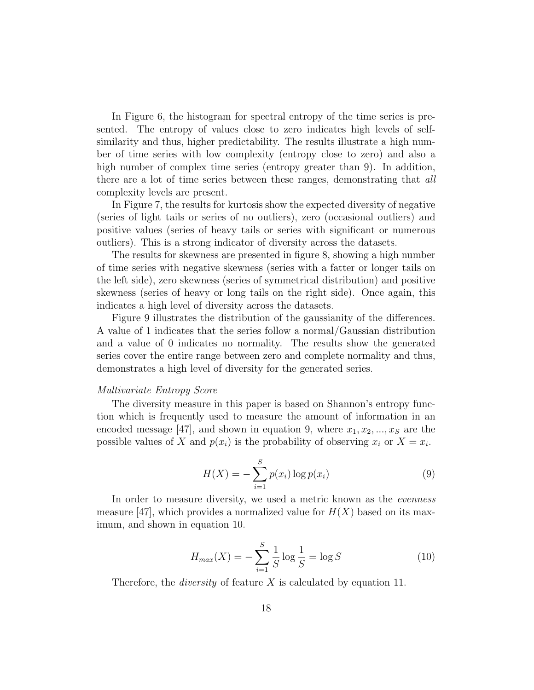In Figure 6, the histogram for spectral entropy of the time series is presented. The entropy of values close to zero indicates high levels of selfsimilarity and thus, higher predictability. The results illustrate a high number of time series with low complexity (entropy close to zero) and also a high number of complex time series (entropy greater than 9). In addition, there are a lot of time series between these ranges, demonstrating that all complexity levels are present.

In Figure 7, the results for kurtosis show the expected diversity of negative (series of light tails or series of no outliers), zero (occasional outliers) and positive values (series of heavy tails or series with significant or numerous outliers). This is a strong indicator of diversity across the datasets.

The results for skewness are presented in figure 8, showing a high number of time series with negative skewness (series with a fatter or longer tails on the left side), zero skewness (series of symmetrical distribution) and positive skewness (series of heavy or long tails on the right side). Once again, this indicates a high level of diversity across the datasets.

Figure 9 illustrates the distribution of the gaussianity of the differences. A value of 1 indicates that the series follow a normal/Gaussian distribution and a value of 0 indicates no normality. The results show the generated series cover the entire range between zero and complete normality and thus, demonstrates a high level of diversity for the generated series.

#### Multivariate Entropy Score

The diversity measure in this paper is based on Shannon's entropy function which is frequently used to measure the amount of information in an encoded message [47], and shown in equation 9, where  $x_1, x_2, ..., x_S$  are the possible values of X and  $p(x_i)$  is the probability of observing  $x_i$  or  $X = x_i$ .

$$
H(X) = -\sum_{i=1}^{S} p(x_i) \log p(x_i)
$$
 (9)

In order to measure diversity, we used a metric known as the *evenness* measure [47], which provides a normalized value for  $H(X)$  based on its maximum, and shown in equation 10.

$$
H_{max}(X) = -\sum_{i=1}^{S} \frac{1}{S} \log \frac{1}{S} = \log S \tag{10}
$$

Therefore, the *diversity* of feature X is calculated by equation 11.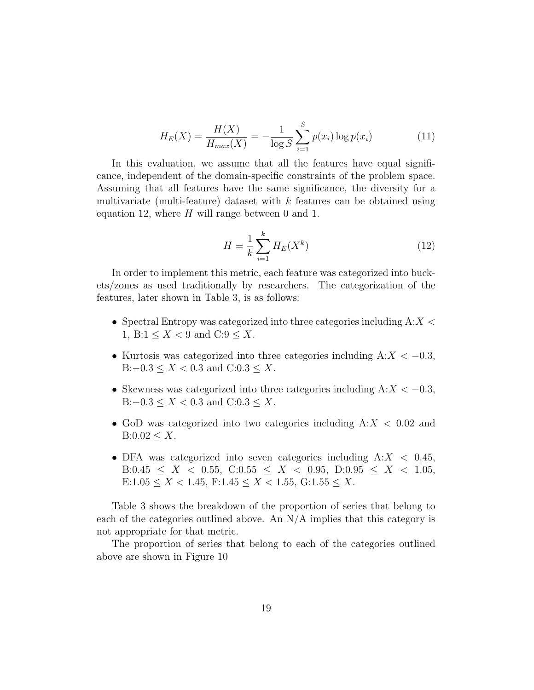$$
H_E(X) = \frac{H(X)}{H_{max}(X)} = -\frac{1}{\log S} \sum_{i=1}^{S} p(x_i) \log p(x_i)
$$
 (11)

In this evaluation, we assume that all the features have equal significance, independent of the domain-specific constraints of the problem space. Assuming that all features have the same significance, the diversity for a multivariate (multi-feature) dataset with  $k$  features can be obtained using equation 12, where  $H$  will range between 0 and 1.

$$
H = \frac{1}{k} \sum_{i=1}^{k} H_E(X^k)
$$
\n(12)

In order to implement this metric, each feature was categorized into buckets/zones as used traditionally by researchers. The categorization of the features, later shown in Table 3, is as follows:

- Spectral Entropy was categorized into three categories including  $A:X<$ 1, B:1  $\leq X < 9$  and C:9  $\leq X$ .
- Kurtosis was categorized into three categories including  $A: X < -0.3$ , B: $-0.3 \le X < 0.3$  and C: $0.3 \le X$ .
- Skewness was categorized into three categories including  $A: X < -0.3$ , B: $-0.3 \le X \le 0.3$  and C:0.3  $\le X$ .
- GoD was categorized into two categories including  $A:X < 0.02$  and  $B:0.02 \leq X$ .
- DFA was categorized into seven categories including  $A: X < 0.45$ , B:0.45  $\leq$  X  $\lt$  0.55, C:0.55  $\leq$  X  $\lt$  0.95, D:0.95  $\leq$  X  $\lt$  1.05, E:1.05  $\leq X < 1.45$ , F:1.45  $\leq X < 1.55$ , G:1.55  $\leq X$ .

Table 3 shows the breakdown of the proportion of series that belong to each of the categories outlined above. An  $N/A$  implies that this category is not appropriate for that metric.

The proportion of series that belong to each of the categories outlined above are shown in Figure 10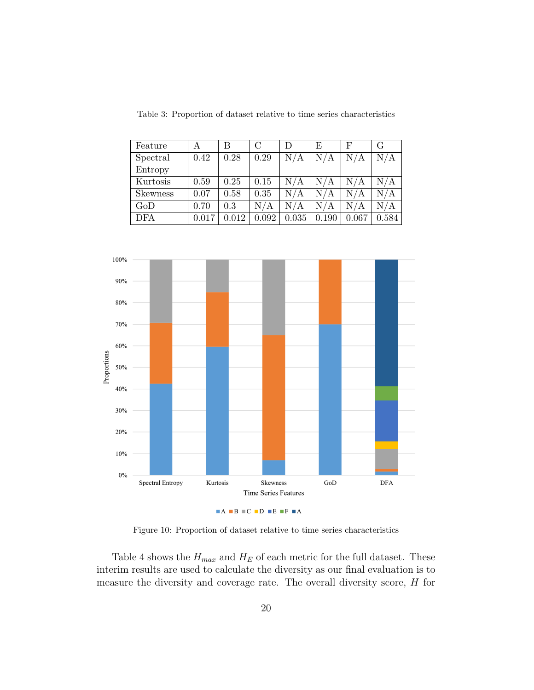| Feature         | А     | В     | $\mathcal{C}$ | D     | E         | F         | G                       |
|-----------------|-------|-------|---------------|-------|-----------|-----------|-------------------------|
| Spectral        | 0.42  | 0.28  | 0.29          | N/A   | N/A       | N/A       | N/A                     |
| Entropy         |       |       |               |       |           |           |                         |
| Kurtosis        | 0.59  | 0.25  | 0.15          | N/A   | N/A       | N/A       | $\mathrm{N}/\mathrm{A}$ |
| <b>Skewness</b> | 0.07  | 0.58  | 0.35          | N/A   | $\rm N/A$ | N/A       | $\mathrm{N}/\mathrm{A}$ |
| GoD             | 0.70  | 0.3   | N/A           | N/A   | N/A       | $\rm N/A$ | N/A                     |
| <b>DFA</b>      | 0.017 | N 012 | 0.092         | 0.035 | 0.190     | 0.067     | 0.584                   |

Table 3: Proportion of dataset relative to time series characteristics



Figure 10: Proportion of dataset relative to time series characteristics

Table 4 shows the  $H_{max}$  and  $H_E$  of each metric for the full dataset. These interim results are used to calculate the diversity as our final evaluation is to measure the diversity and coverage rate. The overall diversity score, H for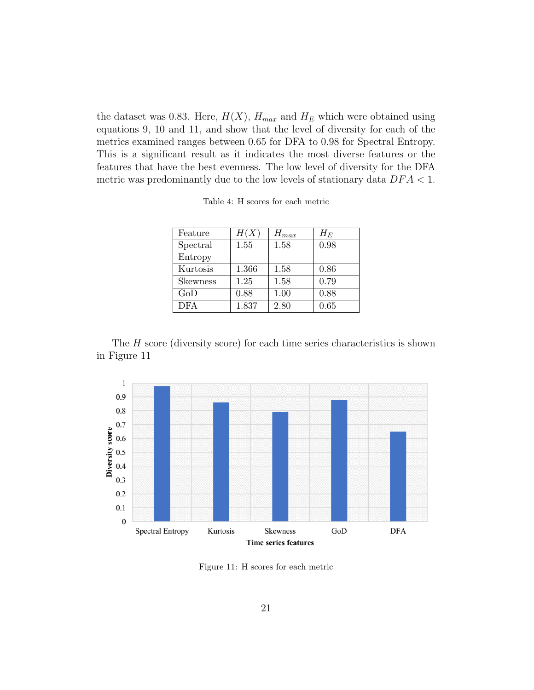the dataset was 0.83. Here,  $H(X)$ ,  $H_{max}$  and  $H_E$  which were obtained using equations 9, 10 and 11, and show that the level of diversity for each of the metrics examined ranges between 0.65 for DFA to 0.98 for Spectral Entropy. This is a significant result as it indicates the most diverse features or the features that have the best evenness. The low level of diversity for the DFA metric was predominantly due to the low levels of stationary data  $DFA < 1$ .

Table 4: H scores for each metric

| Feature         | H(X)  | $H_{max}$ | $H_E$ |
|-----------------|-------|-----------|-------|
| Spectral        | 1.55  | 1.58      | 0.98  |
| Entropy         |       |           |       |
| Kurtosis        | 1.366 | 1.58      | 0.86  |
| <b>Skewness</b> | 1.25  | 1.58      | 0.79  |
| GoD             | 0.88  | 1.00      | 0.88  |
| <b>DFA</b>      | 1.837 | 2.80      | 0.65  |

The  $H$  score (diversity score) for each time series characteristics is shown in Figure 11



Figure 11: H scores for each metric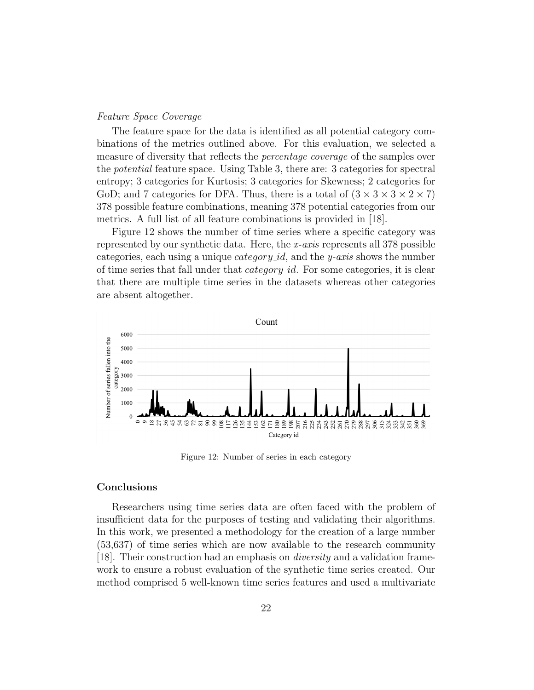# Feature Space Coverage

The feature space for the data is identified as all potential category combinations of the metrics outlined above. For this evaluation, we selected a measure of diversity that reflects the *percentage coverage* of the samples over the potential feature space. Using Table 3, there are: 3 categories for spectral entropy; 3 categories for Kurtosis; 3 categories for Skewness; 2 categories for GoD; and 7 categories for DFA. Thus, there is a total of  $(3 \times 3 \times 3 \times 2 \times 7)$ 378 possible feature combinations, meaning 378 potential categories from our metrics. A full list of all feature combinations is provided in [18].

Figure 12 shows the number of time series where a specific category was represented by our synthetic data. Here, the x-axis represents all 378 possible categories, each using a unique *category id*, and the *y-axis* shows the number of time series that fall under that *category id.* For some categories, it is clear that there are multiple time series in the datasets whereas other categories are absent altogether.



Figure 12: Number of series in each category

# Conclusions

Researchers using time series data are often faced with the problem of insufficient data for the purposes of testing and validating their algorithms. In this work, we presented a methodology for the creation of a large number (53,637) of time series which are now available to the research community [18]. Their construction had an emphasis on diversity and a validation framework to ensure a robust evaluation of the synthetic time series created. Our method comprised 5 well-known time series features and used a multivariate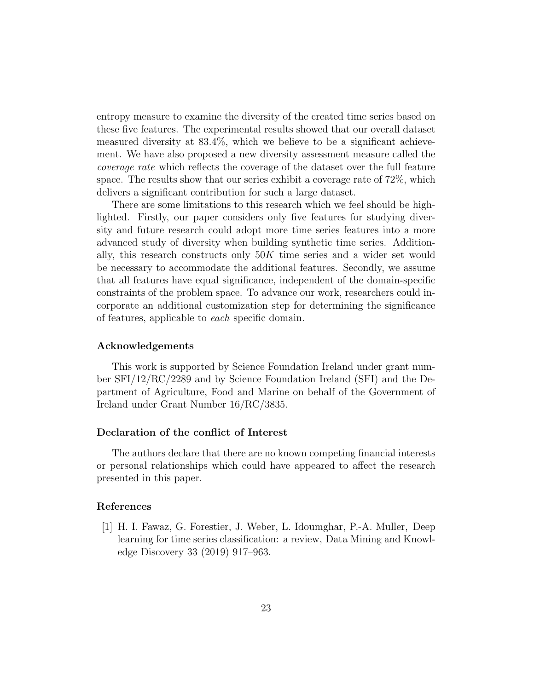entropy measure to examine the diversity of the created time series based on these five features. The experimental results showed that our overall dataset measured diversity at 83.4%, which we believe to be a significant achievement. We have also proposed a new diversity assessment measure called the coverage rate which reflects the coverage of the dataset over the full feature space. The results show that our series exhibit a coverage rate of 72%, which delivers a significant contribution for such a large dataset.

There are some limitations to this research which we feel should be highlighted. Firstly, our paper considers only five features for studying diversity and future research could adopt more time series features into a more advanced study of diversity when building synthetic time series. Additionally, this research constructs only  $50K$  time series and a wider set would be necessary to accommodate the additional features. Secondly, we assume that all features have equal significance, independent of the domain-specific constraints of the problem space. To advance our work, researchers could incorporate an additional customization step for determining the significance of features, applicable to each specific domain.

#### Acknowledgements

This work is supported by Science Foundation Ireland under grant number SFI/12/RC/2289 and by Science Foundation Ireland (SFI) and the Department of Agriculture, Food and Marine on behalf of the Government of Ireland under Grant Number 16/RC/3835.

### Declaration of the conflict of Interest

The authors declare that there are no known competing financial interests or personal relationships which could have appeared to affect the research presented in this paper.

### References

[1] H. I. Fawaz, G. Forestier, J. Weber, L. Idoumghar, P.-A. Muller, Deep learning for time series classification: a review, Data Mining and Knowledge Discovery 33 (2019) 917–963.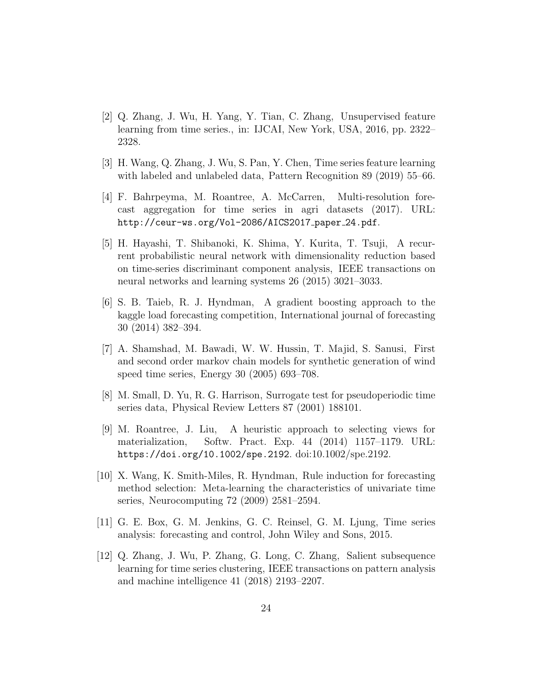- [2] Q. Zhang, J. Wu, H. Yang, Y. Tian, C. Zhang, Unsupervised feature learning from time series., in: IJCAI, New York, USA, 2016, pp. 2322– 2328.
- [3] H. Wang, Q. Zhang, J. Wu, S. Pan, Y. Chen, Time series feature learning with labeled and unlabeled data, Pattern Recognition 89 (2019) 55–66.
- [4] F. Bahrpeyma, M. Roantree, A. McCarren, Multi-resolution forecast aggregation for time series in agri datasets (2017). URL: http://ceur-ws.org/Vol-2086/AICS2017\_paper\_24.pdf.
- [5] H. Hayashi, T. Shibanoki, K. Shima, Y. Kurita, T. Tsuji, A recurrent probabilistic neural network with dimensionality reduction based on time-series discriminant component analysis, IEEE transactions on neural networks and learning systems 26 (2015) 3021–3033.
- [6] S. B. Taieb, R. J. Hyndman, A gradient boosting approach to the kaggle load forecasting competition, International journal of forecasting 30 (2014) 382–394.
- [7] A. Shamshad, M. Bawadi, W. W. Hussin, T. Majid, S. Sanusi, First and second order markov chain models for synthetic generation of wind speed time series, Energy 30 (2005) 693–708.
- [8] M. Small, D. Yu, R. G. Harrison, Surrogate test for pseudoperiodic time series data, Physical Review Letters 87 (2001) 188101.
- [9] M. Roantree, J. Liu, A heuristic approach to selecting views for materialization, Softw. Pract. Exp. 44 (2014) 1157–1179. URL: https://doi.org/10.1002/spe.2192. doi:10.1002/spe.2192.
- [10] X. Wang, K. Smith-Miles, R. Hyndman, Rule induction for forecasting method selection: Meta-learning the characteristics of univariate time series, Neurocomputing 72 (2009) 2581–2594.
- [11] G. E. Box, G. M. Jenkins, G. C. Reinsel, G. M. Ljung, Time series analysis: forecasting and control, John Wiley and Sons, 2015.
- [12] Q. Zhang, J. Wu, P. Zhang, G. Long, C. Zhang, Salient subsequence learning for time series clustering, IEEE transactions on pattern analysis and machine intelligence 41 (2018) 2193–2207.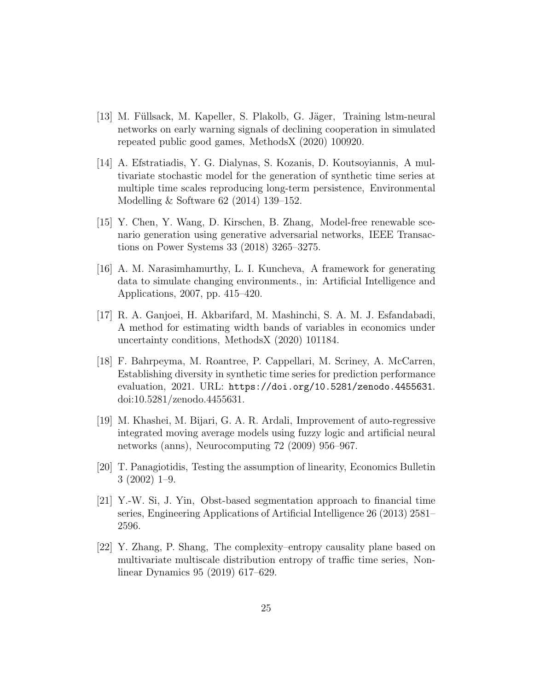- [13] M. Füllsack, M. Kapeller, S. Plakolb, G. Jäger, Training lstm-neural networks on early warning signals of declining cooperation in simulated repeated public good games, MethodsX (2020) 100920.
- [14] A. Efstratiadis, Y. G. Dialynas, S. Kozanis, D. Koutsoyiannis, A multivariate stochastic model for the generation of synthetic time series at multiple time scales reproducing long-term persistence, Environmental Modelling & Software 62 (2014) 139–152.
- [15] Y. Chen, Y. Wang, D. Kirschen, B. Zhang, Model-free renewable scenario generation using generative adversarial networks, IEEE Transactions on Power Systems 33 (2018) 3265–3275.
- [16] A. M. Narasimhamurthy, L. I. Kuncheva, A framework for generating data to simulate changing environments., in: Artificial Intelligence and Applications, 2007, pp. 415–420.
- [17] R. A. Ganjoei, H. Akbarifard, M. Mashinchi, S. A. M. J. Esfandabadi, A method for estimating width bands of variables in economics under uncertainty conditions, MethodsX (2020) 101184.
- [18] F. Bahrpeyma, M. Roantree, P. Cappellari, M. Scriney, A. McCarren, Establishing diversity in synthetic time series for prediction performance evaluation, 2021. URL: https://doi.org/10.5281/zenodo.4455631. doi:10.5281/zenodo.4455631.
- [19] M. Khashei, M. Bijari, G. A. R. Ardali, Improvement of auto-regressive integrated moving average models using fuzzy logic and artificial neural networks (anns), Neurocomputing 72 (2009) 956–967.
- [20] T. Panagiotidis, Testing the assumption of linearity, Economics Bulletin 3 (2002) 1–9.
- [21] Y.-W. Si, J. Yin, Obst-based segmentation approach to financial time series, Engineering Applications of Artificial Intelligence 26 (2013) 2581– 2596.
- [22] Y. Zhang, P. Shang, The complexity–entropy causality plane based on multivariate multiscale distribution entropy of traffic time series, Nonlinear Dynamics 95 (2019) 617–629.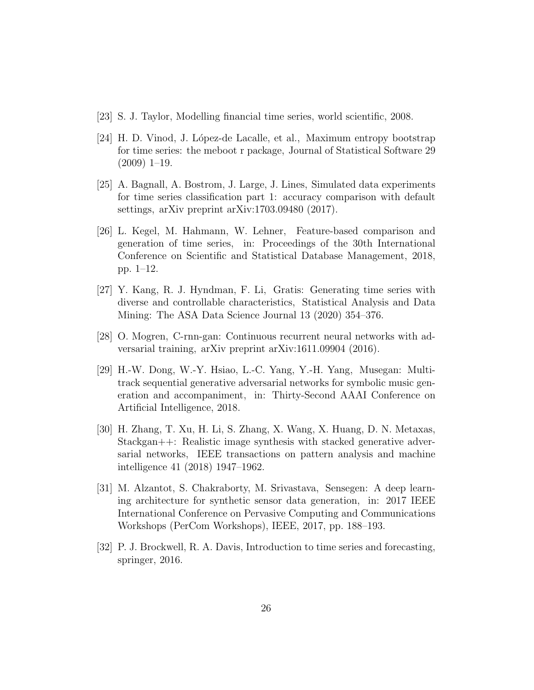- [23] S. J. Taylor, Modelling financial time series, world scientific, 2008.
- [24] H. D. Vinod, J. López-de Lacalle, et al., Maximum entropy bootstrap for time series: the meboot r package, Journal of Statistical Software 29 (2009) 1–19.
- [25] A. Bagnall, A. Bostrom, J. Large, J. Lines, Simulated data experiments for time series classification part 1: accuracy comparison with default settings, arXiv preprint arXiv:1703.09480 (2017).
- [26] L. Kegel, M. Hahmann, W. Lehner, Feature-based comparison and generation of time series, in: Proceedings of the 30th International Conference on Scientific and Statistical Database Management, 2018, pp. 1–12.
- [27] Y. Kang, R. J. Hyndman, F. Li, Gratis: Generating time series with diverse and controllable characteristics, Statistical Analysis and Data Mining: The ASA Data Science Journal 13 (2020) 354–376.
- [28] O. Mogren, C-rnn-gan: Continuous recurrent neural networks with adversarial training, arXiv preprint arXiv:1611.09904 (2016).
- [29] H.-W. Dong, W.-Y. Hsiao, L.-C. Yang, Y.-H. Yang, Musegan: Multitrack sequential generative adversarial networks for symbolic music generation and accompaniment, in: Thirty-Second AAAI Conference on Artificial Intelligence, 2018.
- [30] H. Zhang, T. Xu, H. Li, S. Zhang, X. Wang, X. Huang, D. N. Metaxas, Stackgan++: Realistic image synthesis with stacked generative adversarial networks, IEEE transactions on pattern analysis and machine intelligence 41 (2018) 1947–1962.
- [31] M. Alzantot, S. Chakraborty, M. Srivastava, Sensegen: A deep learning architecture for synthetic sensor data generation, in: 2017 IEEE International Conference on Pervasive Computing and Communications Workshops (PerCom Workshops), IEEE, 2017, pp. 188–193.
- [32] P. J. Brockwell, R. A. Davis, Introduction to time series and forecasting, springer, 2016.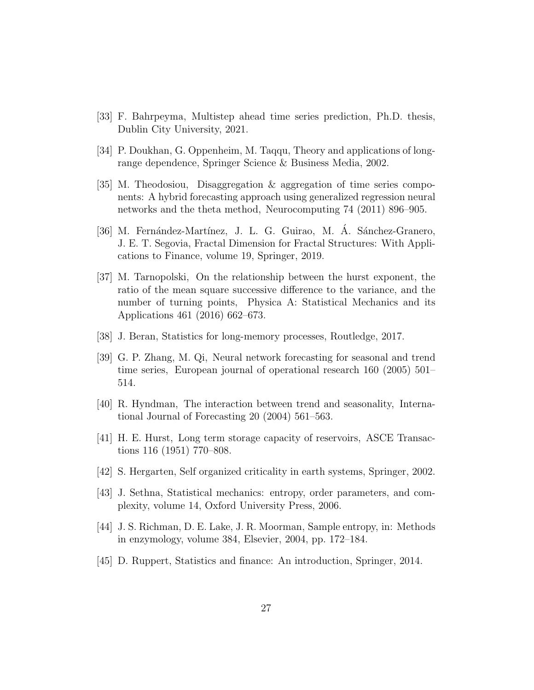- [33] F. Bahrpeyma, Multistep ahead time series prediction, Ph.D. thesis, Dublin City University, 2021.
- [34] P. Doukhan, G. Oppenheim, M. Taqqu, Theory and applications of longrange dependence, Springer Science & Business Media, 2002.
- [35] M. Theodosiou, Disaggregation & aggregation of time series components: A hybrid forecasting approach using generalized regression neural networks and the theta method, Neurocomputing 74 (2011) 896–905.
- [36] M. Fernández-Martínez, J. L. G. Guirao, M. A. Sánchez-Granero, J. E. T. Segovia, Fractal Dimension for Fractal Structures: With Applications to Finance, volume 19, Springer, 2019.
- [37] M. Tarnopolski, On the relationship between the hurst exponent, the ratio of the mean square successive difference to the variance, and the number of turning points, Physica A: Statistical Mechanics and its Applications 461 (2016) 662–673.
- [38] J. Beran, Statistics for long-memory processes, Routledge, 2017.
- [39] G. P. Zhang, M. Qi, Neural network forecasting for seasonal and trend time series, European journal of operational research 160 (2005) 501– 514.
- [40] R. Hyndman, The interaction between trend and seasonality, International Journal of Forecasting 20 (2004) 561–563.
- [41] H. E. Hurst, Long term storage capacity of reservoirs, ASCE Transactions 116 (1951) 770–808.
- [42] S. Hergarten, Self organized criticality in earth systems, Springer, 2002.
- [43] J. Sethna, Statistical mechanics: entropy, order parameters, and complexity, volume 14, Oxford University Press, 2006.
- [44] J. S. Richman, D. E. Lake, J. R. Moorman, Sample entropy, in: Methods in enzymology, volume 384, Elsevier, 2004, pp. 172–184.
- [45] D. Ruppert, Statistics and finance: An introduction, Springer, 2014.